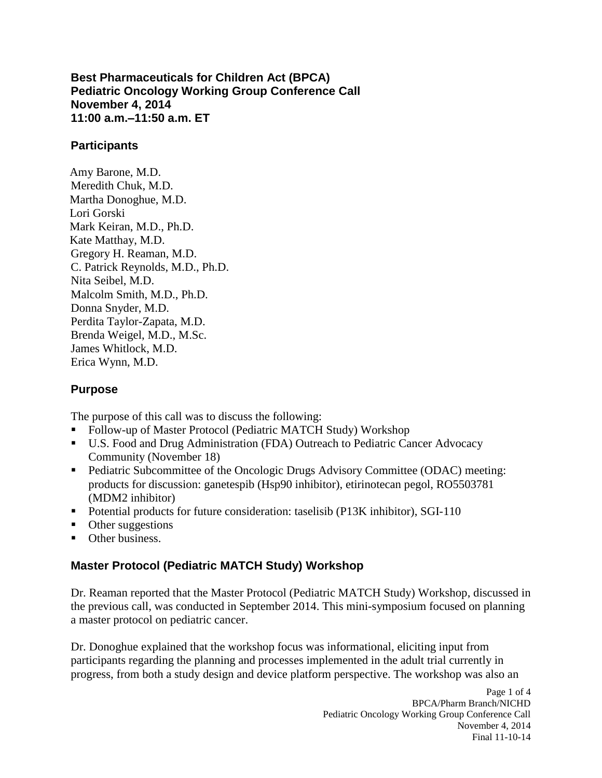**11:00 a.m.–11:50 a.m. ET Best Pharmaceuticals for Children Act (BPCA) Pediatric Oncology Working Group Conference Call November 4, 2014** 

### **Participants**

Amy Barone, M.D. Meredith Chuk, M.D. Martha Donoghue, M.D. Lori Gorski Mark Keiran, M.D., Ph.D. Kate Matthay, M.D. Gregory H. Reaman, M.D. C. Patrick Reynolds, M.D., Ph.D. Nita Seibel, M.D. Malcolm Smith, M.D., Ph.D. Donna Snyder, M.D. Perdita Taylor-Zapata, M.D. Brenda Weigel, M.D., M.Sc. James Whitlock, M.D. Erica Wynn, M.D.

### **Purpose**

The purpose of this call was to discuss the following:

- Follow-up of Master Protocol (Pediatric MATCH Study) Workshop
- Community (November 18) ■ U.S. Food and Drug Administration (FDA) Outreach to Pediatric Cancer Advocacy
- (MDM2 inhibitor) ■ Pediatric Subcommittee of the Oncologic Drugs Advisory Committee (ODAC) meeting: products for discussion: ganetespib (Hsp90 inhibitor), etirinotecan pegol, RO5503781
- Potential products for future consideration: taselisib (P13K inhibitor), SGI-110
- Other suggestions
- Other business.

### **Master Protocol (Pediatric MATCH Study) Workshop**

Dr. Reaman reported that the Master Protocol (Pediatric MATCH Study) Workshop, discussed in the previous call, was conducted in September 2014. This mini-symposium focused on planning a master protocol on pediatric cancer.

 progress, from both a study design and device platform perspective. The workshop was also an Dr. Donoghue explained that the workshop focus was informational, eliciting input from participants regarding the planning and processes implemented in the adult trial currently in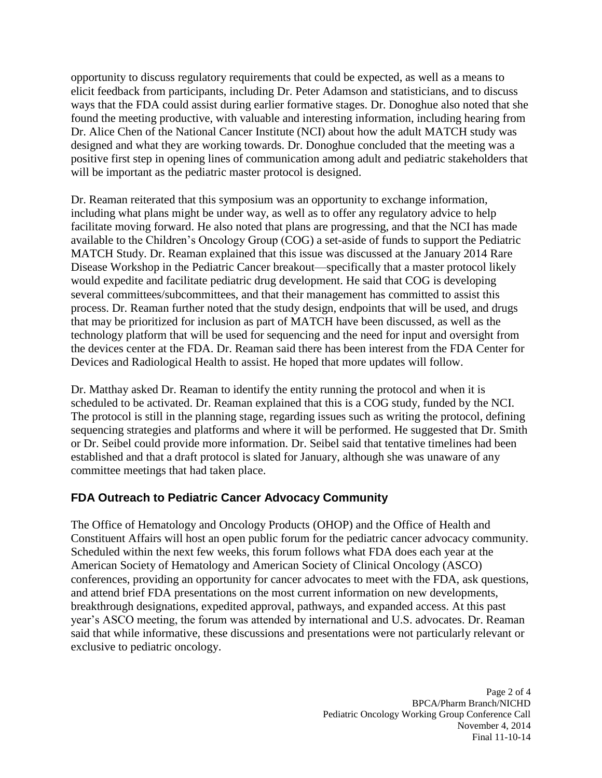Dr. Alice Chen of the National Cancer Institute (NCI) about how the adult MATCH study was positive first step in opening lines of communication among adult and pediatric stakeholders that opportunity to discuss regulatory requirements that could be expected, as well as a means to elicit feedback from participants, including Dr. Peter Adamson and statisticians, and to discuss ways that the FDA could assist during earlier formative stages. Dr. Donoghue also noted that she found the meeting productive, with valuable and interesting information, including hearing from designed and what they are working towards. Dr. Donoghue concluded that the meeting was a will be important as the pediatric master protocol is designed.

 including what plans might be under way, as well as to offer any regulatory advice to help facilitate moving forward. He also noted that plans are progressing, and that the NCI has made available to the Children's Oncology Group (COG) a set-aside of funds to support the Pediatric MATCH Study. Dr. Reaman explained that this issue was discussed at the January 2014 Rare Disease Workshop in the Pediatric Cancer breakout––specifically that a master protocol likely the devices center at the FDA. Dr. Reaman said there has been interest from the FDA Center for Devices and Radiological Health to assist. He hoped that more updates will follow. Dr. Reaman reiterated that this symposium was an opportunity to exchange information, would expedite and facilitate pediatric drug development. He said that COG is developing several committees/subcommittees, and that their management has committed to assist this process. Dr. Reaman further noted that the study design, endpoints that will be used, and drugs that may be prioritized for inclusion as part of MATCH have been discussed, as well as the technology platform that will be used for sequencing and the need for input and oversight from

 scheduled to be activated. Dr. Reaman explained that this is a COG study, funded by the NCI. The protocol is still in the planning stage, regarding issues such as writing the protocol, defining sequencing strategies and platforms and where it will be performed. He suggested that Dr. Smith Dr. Matthay asked Dr. Reaman to identify the entity running the protocol and when it is or Dr. Seibel could provide more information. Dr. Seibel said that tentative timelines had been established and that a draft protocol is slated for January, although she was unaware of any committee meetings that had taken place.

## **FDA Outreach to Pediatric Cancer Advocacy Community**

 The Office of Hematology and Oncology Products (OHOP) and the Office of Health and conferences, providing an opportunity for cancer advocates to meet with the FDA, ask questions, year's ASCO meeting, the forum was attended by international and U.S. advocates. Dr. Reaman exclusive to pediatric oncology. Constituent Affairs will host an open public forum for the pediatric cancer advocacy community. Scheduled within the next few weeks, this forum follows what FDA does each year at the American Society of Hematology and American Society of Clinical Oncology (ASCO) and attend brief FDA presentations on the most current information on new developments, breakthrough designations, expedited approval, pathways, and expanded access. At this past said that while informative, these discussions and presentations were not particularly relevant or exclusive to pediatric oncology.<br>Page 2 of 4

Page 2 of 4 Pediatric Oncology Working Group Conference Call November 4, 2014 Final 11-10-14 BPCA/Pharm Branch/NICHD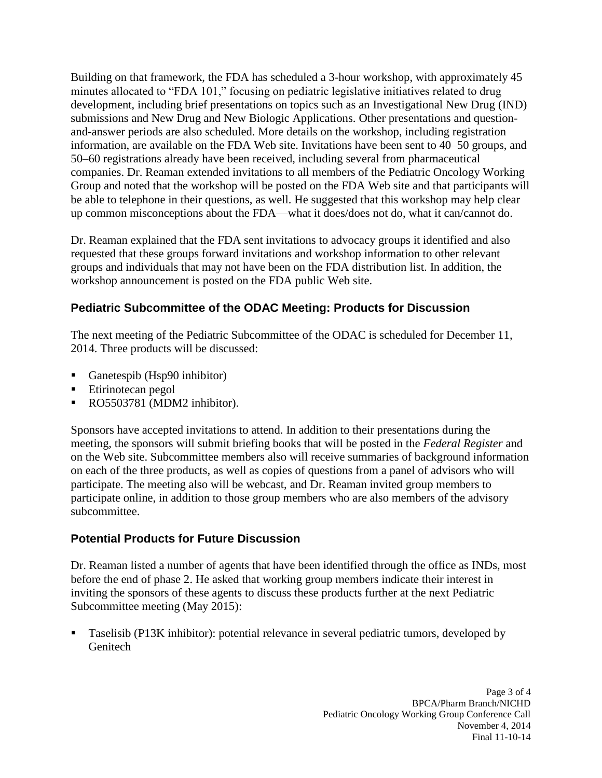development, including brief presentations on topics such as an Investigational New Drug (IND) information, are available on the FDA Web site. Invitations have been sent to 40–50 groups, and 50–60 registrations already have been received, including several from pharmaceutical up common misconceptions about the FDA––what it does/does not do, what it can/cannot do. Building on that framework, the FDA has scheduled a 3-hour workshop, with approximately 45 minutes allocated to "FDA 101," focusing on pediatric legislative initiatives related to drug submissions and New Drug and New Biologic Applications. Other presentations and questionand-answer periods are also scheduled. More details on the workshop, including registration companies. Dr. Reaman extended invitations to all members of the Pediatric Oncology Working Group and noted that the workshop will be posted on the FDA Web site and that participants will be able to telephone in their questions, as well. He suggested that this workshop may help clear

 Dr. Reaman explained that the FDA sent invitations to advocacy groups it identified and also requested that these groups forward invitations and workshop information to other relevant groups and individuals that may not have been on the FDA distribution list. In addition, the workshop announcement is posted on the FDA public Web site.

# **Pediatric Subcommittee of the ODAC Meeting: Products for Discussion**

The next meeting of the Pediatric Subcommittee of the ODAC is scheduled for December 11, 2014. Three products will be discussed:

- Ganetespib (Hsp90 inhibitor)
- Etirinotecan pegol
- RO5503781 (MDM2 inhibitor).

 Sponsors have accepted invitations to attend. In addition to their presentations during the participate. The meeting also will be webcast, and Dr. Reaman invited group members to participate online, in addition to those group members who are also members of the advisory meeting, the sponsors will submit briefing books that will be posted in the *Federal Register* and on the Web site. Subcommittee members also will receive summaries of background information on each of the three products, as well as copies of questions from a panel of advisors who will subcommittee.

## **Potential Products for Future Discussion**

 Dr. Reaman listed a number of agents that have been identified through the office as INDs, most before the end of phase 2. He asked that working group members indicate their interest in inviting the sponsors of these agents to discuss these products further at the next Pediatric Subcommittee meeting (May 2015):

 Taselisib (P13K inhibitor): potential relevance in several pediatric tumors, developed by **Genitech**